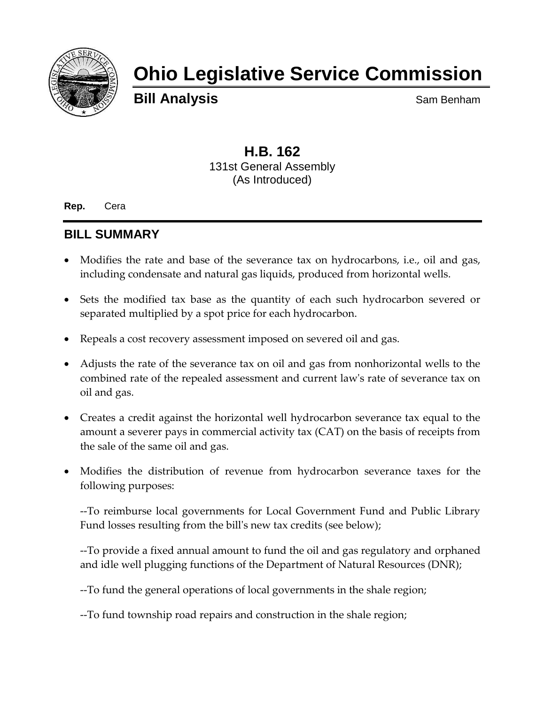

# **Ohio Legislative Service Commission**

**Bill Analysis** Sam Benham

# **H.B. 162** 131st General Assembly (As Introduced)

**Rep.** Cera

# **BILL SUMMARY**

- Modifies the rate and base of the severance tax on hydrocarbons, i.e., oil and gas, including condensate and natural gas liquids, produced from horizontal wells.
- Sets the modified tax base as the quantity of each such hydrocarbon severed or separated multiplied by a spot price for each hydrocarbon.
- Repeals a cost recovery assessment imposed on severed oil and gas.
- Adjusts the rate of the severance tax on oil and gas from nonhorizontal wells to the combined rate of the repealed assessment and current law's rate of severance tax on oil and gas.
- Creates a credit against the horizontal well hydrocarbon severance tax equal to the amount a severer pays in commercial activity tax (CAT) on the basis of receipts from the sale of the same oil and gas.
- Modifies the distribution of revenue from hydrocarbon severance taxes for the following purposes:

--To reimburse local governments for Local Government Fund and Public Library Fund losses resulting from the bill's new tax credits (see below);

--To provide a fixed annual amount to fund the oil and gas regulatory and orphaned and idle well plugging functions of the Department of Natural Resources (DNR);

--To fund the general operations of local governments in the shale region;

--To fund township road repairs and construction in the shale region;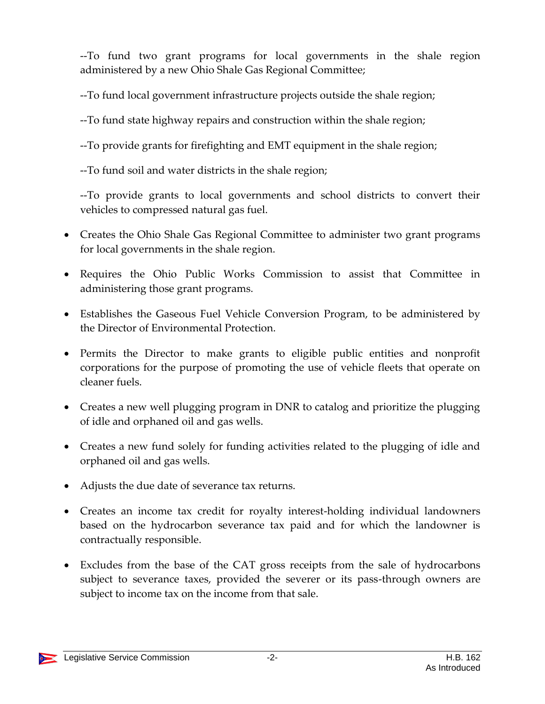--To fund two grant programs for local governments in the shale region administered by a new Ohio Shale Gas Regional Committee;

--To fund local government infrastructure projects outside the shale region;

--To fund state highway repairs and construction within the shale region;

--To provide grants for firefighting and EMT equipment in the shale region;

--To fund soil and water districts in the shale region;

--To provide grants to local governments and school districts to convert their vehicles to compressed natural gas fuel.

- Creates the Ohio Shale Gas Regional Committee to administer two grant programs for local governments in the shale region.
- Requires the Ohio Public Works Commission to assist that Committee in administering those grant programs.
- Establishes the Gaseous Fuel Vehicle Conversion Program, to be administered by the Director of Environmental Protection.
- Permits the Director to make grants to eligible public entities and nonprofit corporations for the purpose of promoting the use of vehicle fleets that operate on cleaner fuels.
- Creates a new well plugging program in DNR to catalog and prioritize the plugging of idle and orphaned oil and gas wells.
- Creates a new fund solely for funding activities related to the plugging of idle and orphaned oil and gas wells.
- Adjusts the due date of severance tax returns.
- Creates an income tax credit for royalty interest-holding individual landowners based on the hydrocarbon severance tax paid and for which the landowner is contractually responsible.
- Excludes from the base of the CAT gross receipts from the sale of hydrocarbons subject to severance taxes, provided the severer or its pass-through owners are subject to income tax on the income from that sale.

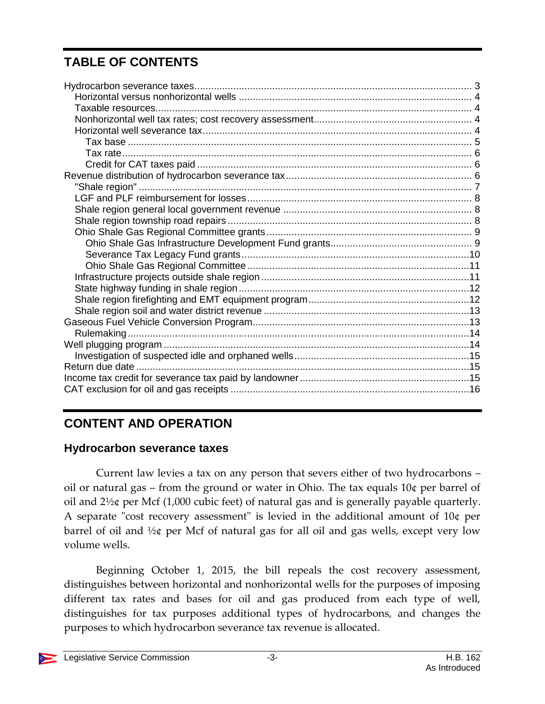# **TABLE OF CONTENTS**

# **CONTENT AND OPERATION**

# <span id="page-2-0"></span>**Hydrocarbon severance taxes**

Current law levies a tax on any person that severs either of two hydrocarbons – oil or natural gas – from the ground or water in Ohio. The tax equals 10¢ per barrel of oil and 2½¢ per Mcf (1,000 cubic feet) of natural gas and is generally payable quarterly. A separate "cost recovery assessment" is levied in the additional amount of 10¢ per barrel of oil and ½¢ per Mcf of natural gas for all oil and gas wells, except very low volume wells.

Beginning October 1, 2015, the bill repeals the cost recovery assessment, distinguishes between horizontal and nonhorizontal wells for the purposes of imposing different tax rates and bases for oil and gas produced from each type of well, distinguishes for tax purposes additional types of hydrocarbons, and changes the purposes to which hydrocarbon severance tax revenue is allocated.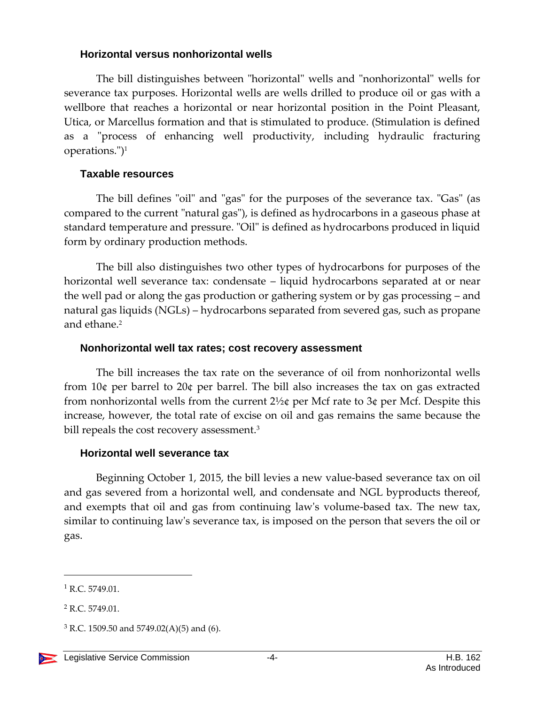#### <span id="page-3-0"></span>**Horizontal versus nonhorizontal wells**

The bill distinguishes between "horizontal" wells and "nonhorizontal" wells for severance tax purposes. Horizontal wells are wells drilled to produce oil or gas with a wellbore that reaches a horizontal or near horizontal position in the Point Pleasant, Utica, or Marcellus formation and that is stimulated to produce. (Stimulation is defined as a "process of enhancing well productivity, including hydraulic fracturing operations.")<sup>1</sup>

#### <span id="page-3-1"></span>**Taxable resources**

The bill defines "oil" and "gas" for the purposes of the severance tax. "Gas" (as compared to the current "natural gas"), is defined as hydrocarbons in a gaseous phase at standard temperature and pressure. "Oil" is defined as hydrocarbons produced in liquid form by ordinary production methods.

The bill also distinguishes two other types of hydrocarbons for purposes of the horizontal well severance tax: condensate – liquid hydrocarbons separated at or near the well pad or along the gas production or gathering system or by gas processing – and natural gas liquids (NGLs) – hydrocarbons separated from severed gas, such as propane and ethane.<sup>2</sup>

#### <span id="page-3-2"></span>**Nonhorizontal well tax rates; cost recovery assessment**

The bill increases the tax rate on the severance of oil from nonhorizontal wells from 10¢ per barrel to 20¢ per barrel. The bill also increases the tax on gas extracted from nonhorizontal wells from the current  $2\frac{1}{2}$  per Mcf rate to  $3\phi$  per Mcf. Despite this increase, however, the total rate of excise on oil and gas remains the same because the bill repeals the cost recovery assessment.<sup>3</sup>

#### <span id="page-3-3"></span>**Horizontal well severance tax**

Beginning October 1, 2015, the bill levies a new value-based severance tax on oil and gas severed from a horizontal well, and condensate and NGL byproducts thereof, and exempts that oil and gas from continuing law's volume-based tax. The new tax, similar to continuing law's severance tax, is imposed on the person that severs the oil or gas.

 $1$  R.C. 5749.01.

<sup>2</sup> R.C. 5749.01.

 $3$  R.C. 1509.50 and 5749.02(A)(5) and (6).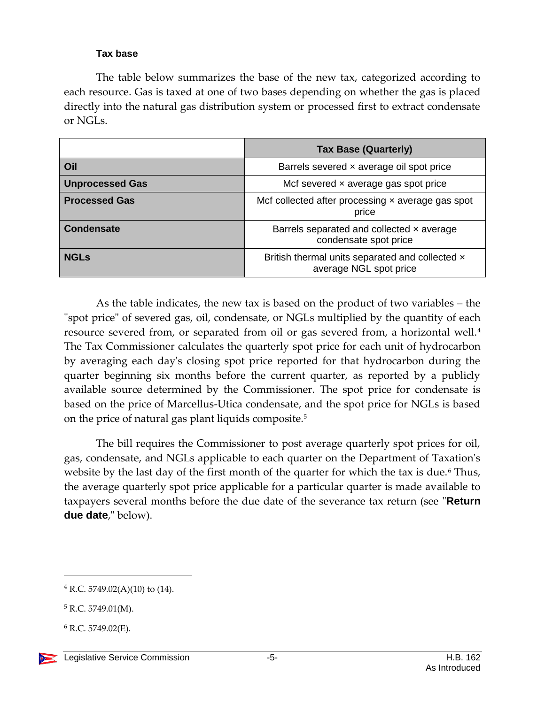#### **Tax base**

<span id="page-4-0"></span>The table below summarizes the base of the new tax, categorized according to each resource. Gas is taxed at one of two bases depending on whether the gas is placed directly into the natural gas distribution system or processed first to extract condensate or NGLs.

|                        | <b>Tax Base (Quarterly)</b>                                               |  |
|------------------------|---------------------------------------------------------------------------|--|
| Oil                    | Barrels severed x average oil spot price                                  |  |
| <b>Unprocessed Gas</b> | Mcf severed $\times$ average gas spot price                               |  |
| <b>Processed Gas</b>   | Mcf collected after processing x average gas spot<br>price                |  |
| <b>Condensate</b>      | Barrels separated and collected x average<br>condensate spot price        |  |
| <b>NGLs</b>            | British thermal units separated and collected x<br>average NGL spot price |  |

As the table indicates, the new tax is based on the product of two variables – the "spot price" of severed gas, oil, condensate, or NGLs multiplied by the quantity of each resource severed from, or separated from oil or gas severed from, a horizontal well.<sup>4</sup> The Tax Commissioner calculates the quarterly spot price for each unit of hydrocarbon by averaging each day's closing spot price reported for that hydrocarbon during the quarter beginning six months before the current quarter, as reported by a publicly available source determined by the Commissioner. The spot price for condensate is based on the price of Marcellus-Utica condensate, and the spot price for NGLs is based on the price of natural gas plant liquids composite.<sup>5</sup>

The bill requires the Commissioner to post average quarterly spot prices for oil, gas, condensate, and NGLs applicable to each quarter on the Department of Taxation's website by the last day of the first month of the quarter for which the tax is due.<sup>6</sup> Thus, the average quarterly spot price applicable for a particular quarter is made available to taxpayers several months before the due date of the severance tax return (see "**Return due date**," below).

<sup>4</sup> R.C. 5749.02(A)(10) to (14).

 $5$  R.C. 5749.01(M).

 $6$  R.C. 5749.02(E).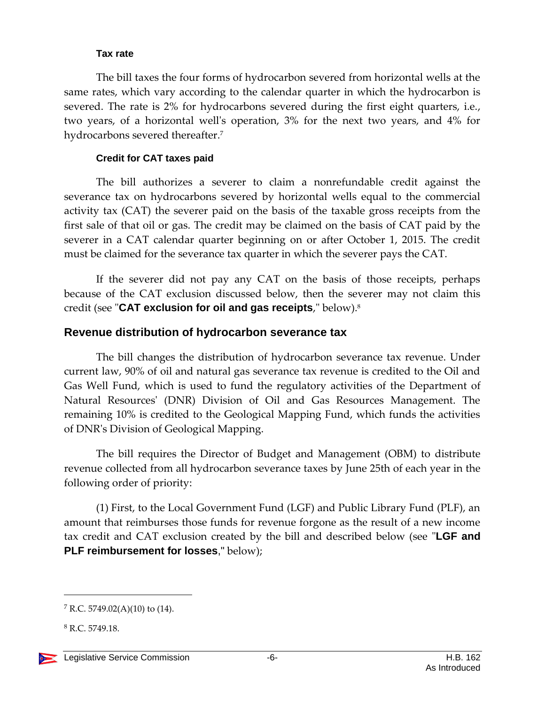#### **Tax rate**

<span id="page-5-0"></span>The bill taxes the four forms of hydrocarbon severed from horizontal wells at the same rates, which vary according to the calendar quarter in which the hydrocarbon is severed. The rate is 2% for hydrocarbons severed during the first eight quarters, i.e., two years, of a horizontal well's operation, 3% for the next two years, and 4% for hydrocarbons severed thereafter.<sup>7</sup>

#### **Credit for CAT taxes paid**

<span id="page-5-1"></span>The bill authorizes a severer to claim a nonrefundable credit against the severance tax on hydrocarbons severed by horizontal wells equal to the commercial activity tax (CAT) the severer paid on the basis of the taxable gross receipts from the first sale of that oil or gas. The credit may be claimed on the basis of CAT paid by the severer in a CAT calendar quarter beginning on or after October 1, 2015. The credit must be claimed for the severance tax quarter in which the severer pays the CAT.

If the severer did not pay any CAT on the basis of those receipts, perhaps because of the CAT exclusion discussed below, then the severer may not claim this credit (see "**CAT exclusion for oil and gas receipts**," below).<sup>8</sup>

# <span id="page-5-2"></span>**Revenue distribution of hydrocarbon severance tax**

The bill changes the distribution of hydrocarbon severance tax revenue. Under current law, 90% of oil and natural gas severance tax revenue is credited to the Oil and Gas Well Fund, which is used to fund the regulatory activities of the Department of Natural Resources' (DNR) Division of Oil and Gas Resources Management. The remaining 10% is credited to the Geological Mapping Fund, which funds the activities of DNR's Division of Geological Mapping.

The bill requires the Director of Budget and Management (OBM) to distribute revenue collected from all hydrocarbon severance taxes by June 25th of each year in the following order of priority:

(1) First, to the Local Government Fund (LGF) and Public Library Fund (PLF), an amount that reimburses those funds for revenue forgone as the result of a new income tax credit and CAT exclusion created by the bill and described below (see "**LGF and PLF reimbursement for losses**," below);

 $7 R.C. 5749.02(A)(10)$  to (14).

<sup>8</sup> R.C. 5749.18.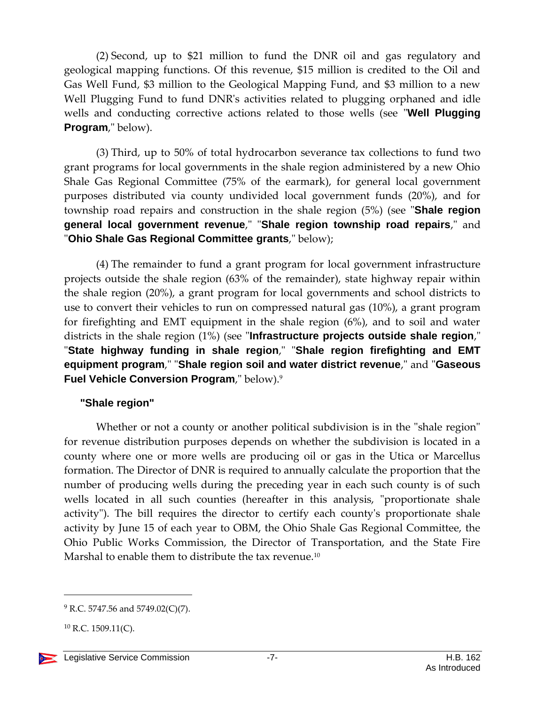(2) Second, up to \$21 million to fund the DNR oil and gas regulatory and geological mapping functions. Of this revenue, \$15 million is credited to the Oil and Gas Well Fund, \$3 million to the Geological Mapping Fund, and \$3 million to a new Well Plugging Fund to fund DNR's activities related to plugging orphaned and idle wells and conducting corrective actions related to those wells (see "**Well Plugging Program**," below).

(3) Third, up to 50% of total hydrocarbon severance tax collections to fund two grant programs for local governments in the shale region administered by a new Ohio Shale Gas Regional Committee (75% of the earmark), for general local government purposes distributed via county undivided local government funds (20%), and for township road repairs and construction in the shale region (5%) (see "**Shale region general local government revenue**," "**Shale region township road repairs**," and "**Ohio Shale Gas Regional Committee grants**," below);

(4) The remainder to fund a grant program for local government infrastructure projects outside the shale region (63% of the remainder), state highway repair within the shale region (20%), a grant program for local governments and school districts to use to convert their vehicles to run on compressed natural gas (10%), a grant program for firefighting and EMT equipment in the shale region (6%), and to soil and water districts in the shale region (1%) (see "**Infrastructure projects outside shale region**," "**State highway funding in shale region**," "**Shale region firefighting and EMT equipment program**," "**Shale region soil and water district revenue**," and "**Gaseous Fuel Vehicle Conversion Program**," below). 9

#### <span id="page-6-0"></span>**"Shale region"**

Whether or not a county or another political subdivision is in the "shale region" for revenue distribution purposes depends on whether the subdivision is located in a county where one or more wells are producing oil or gas in the Utica or Marcellus formation. The Director of DNR is required to annually calculate the proportion that the number of producing wells during the preceding year in each such county is of such wells located in all such counties (hereafter in this analysis, "proportionate shale activity"). The bill requires the director to certify each county's proportionate shale activity by June 15 of each year to OBM, the Ohio Shale Gas Regional Committee, the Ohio Public Works Commission, the Director of Transportation, and the State Fire Marshal to enable them to distribute the tax revenue.<sup>10</sup>

 $^{9}$  R.C. 5747.56 and 5749.02(C)(7).

 $10$  R.C. 1509.11(C).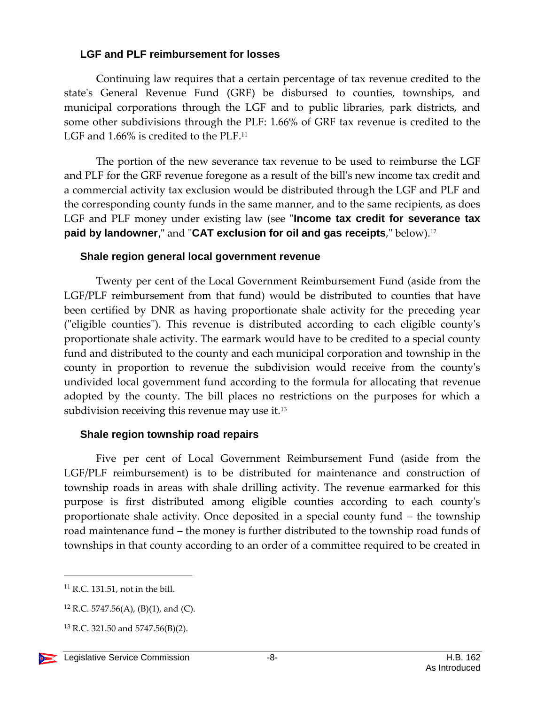#### <span id="page-7-0"></span>**LGF and PLF reimbursement for losses**

Continuing law requires that a certain percentage of tax revenue credited to the state's General Revenue Fund (GRF) be disbursed to counties, townships, and municipal corporations through the LGF and to public libraries, park districts, and some other subdivisions through the PLF: 1.66% of GRF tax revenue is credited to the LGF and 1.66% is credited to the PLF.<sup>11</sup>

The portion of the new severance tax revenue to be used to reimburse the LGF and PLF for the GRF revenue foregone as a result of the bill's new income tax credit and a commercial activity tax exclusion would be distributed through the LGF and PLF and the corresponding county funds in the same manner, and to the same recipients, as does LGF and PLF money under existing law (see "**Income tax credit for severance tax paid by landowner**," and "**CAT exclusion for oil and gas receipts**," below).<sup>12</sup>

#### <span id="page-7-1"></span>**Shale region general local government revenue**

Twenty per cent of the Local Government Reimbursement Fund (aside from the LGF/PLF reimbursement from that fund) would be distributed to counties that have been certified by DNR as having proportionate shale activity for the preceding year ("eligible counties"). This revenue is distributed according to each eligible county's proportionate shale activity. The earmark would have to be credited to a special county fund and distributed to the county and each municipal corporation and township in the county in proportion to revenue the subdivision would receive from the county's undivided local government fund according to the formula for allocating that revenue adopted by the county. The bill places no restrictions on the purposes for which a subdivision receiving this revenue may use it.<sup>13</sup>

#### <span id="page-7-2"></span>**Shale region township road repairs**

Five per cent of Local Government Reimbursement Fund (aside from the LGF/PLF reimbursement) is to be distributed for maintenance and construction of township roads in areas with shale drilling activity. The revenue earmarked for this purpose is first distributed among eligible counties according to each county's proportionate shale activity. Once deposited in a special county fund – the township road maintenance fund – the money is further distributed to the township road funds of townships in that county according to an order of a committee required to be created in

 $11$  R.C. 131.51, not in the bill.

<sup>&</sup>lt;sup>12</sup> R.C. 5747.56(A), (B)(1), and (C).

<sup>13</sup> R.C. 321.50 and 5747.56(B)(2).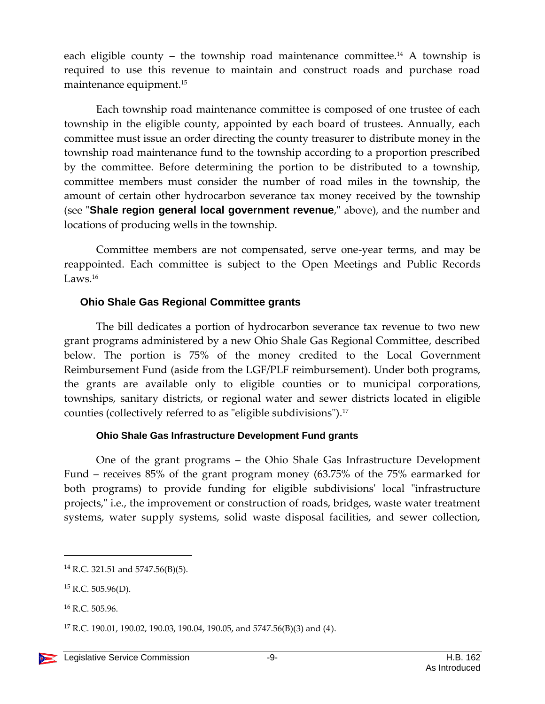each eligible county – the township road maintenance committee.<sup>14</sup> A township is required to use this revenue to maintain and construct roads and purchase road maintenance equipment.<sup>15</sup>

Each township road maintenance committee is composed of one trustee of each township in the eligible county, appointed by each board of trustees. Annually, each committee must issue an order directing the county treasurer to distribute money in the township road maintenance fund to the township according to a proportion prescribed by the committee. Before determining the portion to be distributed to a township, committee members must consider the number of road miles in the township, the amount of certain other hydrocarbon severance tax money received by the township (see "**Shale region general local government revenue**," above), and the number and locations of producing wells in the township.

Committee members are not compensated, serve one-year terms, and may be reappointed. Each committee is subject to the Open Meetings and Public Records Laws.<sup>16</sup>

#### <span id="page-8-0"></span>**Ohio Shale Gas Regional Committee grants**

The bill dedicates a portion of hydrocarbon severance tax revenue to two new grant programs administered by a new Ohio Shale Gas Regional Committee, described below. The portion is 75% of the money credited to the Local Government Reimbursement Fund (aside from the LGF/PLF reimbursement). Under both programs, the grants are available only to eligible counties or to municipal corporations, townships, sanitary districts, or regional water and sewer districts located in eligible counties (collectively referred to as "eligible subdivisions"). 17

#### **Ohio Shale Gas Infrastructure Development Fund grants**

<span id="page-8-1"></span>One of the grant programs – the Ohio Shale Gas Infrastructure Development Fund – receives 85% of the grant program money (63.75% of the 75% earmarked for both programs) to provide funding for eligible subdivisions' local "infrastructure projects," i.e., the improvement or construction of roads, bridges, waste water treatment systems, water supply systems, solid waste disposal facilities, and sewer collection,

<sup>14</sup> R.C. 321.51 and 5747.56(B)(5).

 $15$  R.C. 505.96(D).

<sup>16</sup> R.C. 505.96.

<sup>&</sup>lt;sup>17</sup> R.C. 190.01, 190.02, 190.03, 190.04, 190.05, and 5747.56(B)(3) and (4).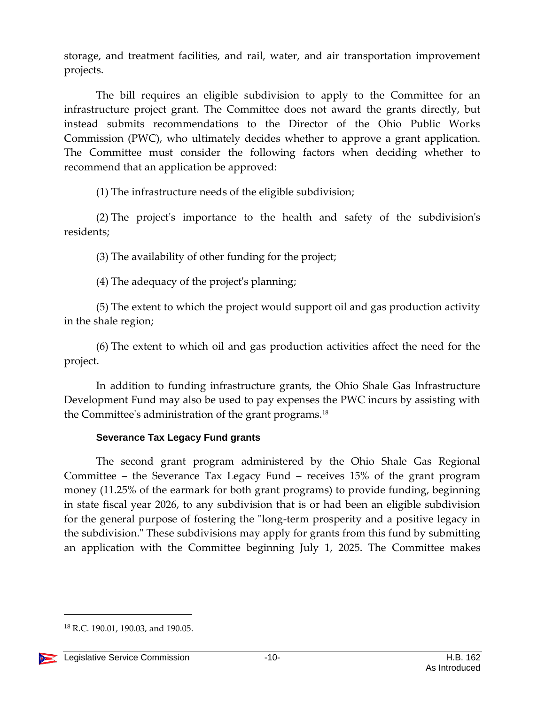storage, and treatment facilities, and rail, water, and air transportation improvement projects.

The bill requires an eligible subdivision to apply to the Committee for an infrastructure project grant. The Committee does not award the grants directly, but instead submits recommendations to the Director of the Ohio Public Works Commission (PWC), who ultimately decides whether to approve a grant application. The Committee must consider the following factors when deciding whether to recommend that an application be approved:

(1) The infrastructure needs of the eligible subdivision;

(2) The project's importance to the health and safety of the subdivision's residents;

(3) The availability of other funding for the project;

(4) The adequacy of the project's planning;

(5) The extent to which the project would support oil and gas production activity in the shale region;

(6) The extent to which oil and gas production activities affect the need for the project.

In addition to funding infrastructure grants, the Ohio Shale Gas Infrastructure Development Fund may also be used to pay expenses the PWC incurs by assisting with the Committee's administration of the grant programs.<sup>18</sup>

#### **Severance Tax Legacy Fund grants**

<span id="page-9-0"></span>The second grant program administered by the Ohio Shale Gas Regional Committee – the Severance Tax Legacy Fund – receives 15% of the grant program money (11.25% of the earmark for both grant programs) to provide funding, beginning in state fiscal year 2026, to any subdivision that is or had been an eligible subdivision for the general purpose of fostering the "long-term prosperity and a positive legacy in the subdivision." These subdivisions may apply for grants from this fund by submitting an application with the Committee beginning July 1, 2025. The Committee makes

<sup>&</sup>lt;sup>18</sup> R.C. 190.01, 190.03, and 190.05.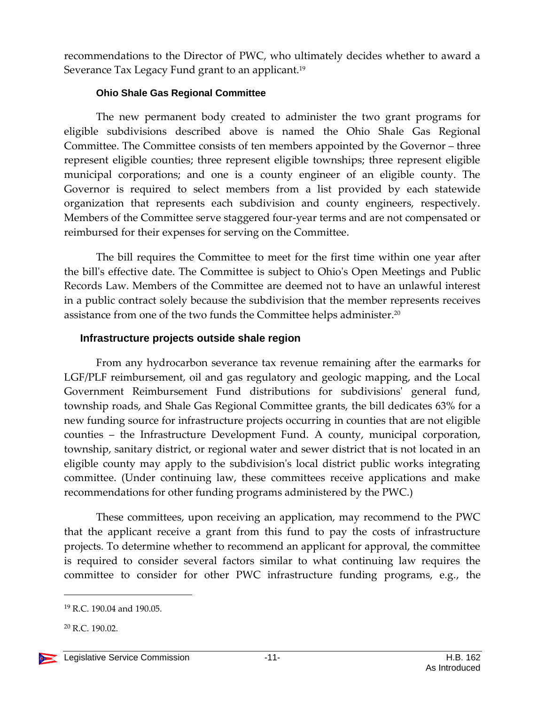recommendations to the Director of PWC, who ultimately decides whether to award a Severance Tax Legacy Fund grant to an applicant.<sup>19</sup>

#### **Ohio Shale Gas Regional Committee**

<span id="page-10-0"></span>The new permanent body created to administer the two grant programs for eligible subdivisions described above is named the Ohio Shale Gas Regional Committee. The Committee consists of ten members appointed by the Governor – three represent eligible counties; three represent eligible townships; three represent eligible municipal corporations; and one is a county engineer of an eligible county. The Governor is required to select members from a list provided by each statewide organization that represents each subdivision and county engineers, respectively. Members of the Committee serve staggered four-year terms and are not compensated or reimbursed for their expenses for serving on the Committee.

The bill requires the Committee to meet for the first time within one year after the bill's effective date. The Committee is subject to Ohio's Open Meetings and Public Records Law. Members of the Committee are deemed not to have an unlawful interest in a public contract solely because the subdivision that the member represents receives assistance from one of the two funds the Committee helps administer.<sup>20</sup>

#### <span id="page-10-1"></span>**Infrastructure projects outside shale region**

From any hydrocarbon severance tax revenue remaining after the earmarks for LGF/PLF reimbursement, oil and gas regulatory and geologic mapping, and the Local Government Reimbursement Fund distributions for subdivisions' general fund, township roads, and Shale Gas Regional Committee grants, the bill dedicates 63% for a new funding source for infrastructure projects occurring in counties that are not eligible counties – the Infrastructure Development Fund. A county, municipal corporation, township, sanitary district, or regional water and sewer district that is not located in an eligible county may apply to the subdivision's local district public works integrating committee. (Under continuing law, these committees receive applications and make recommendations for other funding programs administered by the PWC.)

These committees, upon receiving an application, may recommend to the PWC that the applicant receive a grant from this fund to pay the costs of infrastructure projects. To determine whether to recommend an applicant for approval, the committee is required to consider several factors similar to what continuing law requires the committee to consider for other PWC infrastructure funding programs, e.g., the

 $20$  R.C. 190.02.



<sup>19</sup> R.C. 190.04 and 190.05.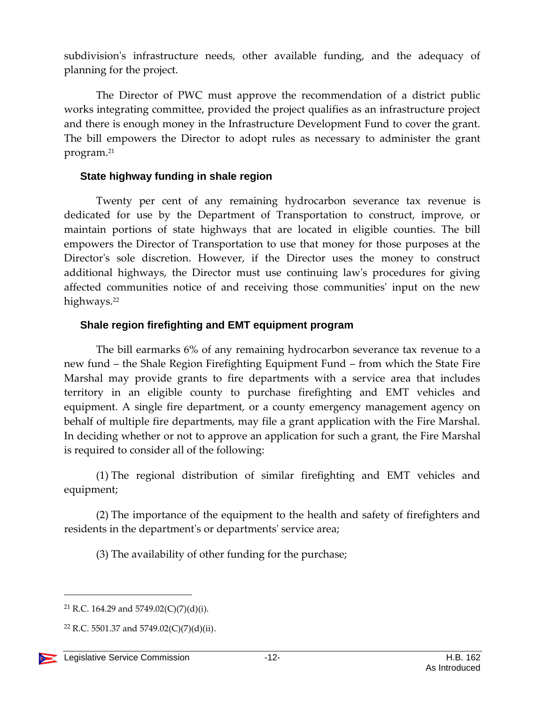subdivision's infrastructure needs, other available funding, and the adequacy of planning for the project.

The Director of PWC must approve the recommendation of a district public works integrating committee, provided the project qualifies as an infrastructure project and there is enough money in the Infrastructure Development Fund to cover the grant. The bill empowers the Director to adopt rules as necessary to administer the grant program.<sup>21</sup>

#### <span id="page-11-0"></span>**State highway funding in shale region**

Twenty per cent of any remaining hydrocarbon severance tax revenue is dedicated for use by the Department of Transportation to construct, improve, or maintain portions of state highways that are located in eligible counties. The bill empowers the Director of Transportation to use that money for those purposes at the Director's sole discretion. However, if the Director uses the money to construct additional highways, the Director must use continuing law's procedures for giving affected communities notice of and receiving those communities' input on the new highways.<sup>22</sup>

#### <span id="page-11-1"></span>**Shale region firefighting and EMT equipment program**

The bill earmarks 6% of any remaining hydrocarbon severance tax revenue to a new fund – the Shale Region Firefighting Equipment Fund – from which the State Fire Marshal may provide grants to fire departments with a service area that includes territory in an eligible county to purchase firefighting and EMT vehicles and equipment. A single fire department, or a county emergency management agency on behalf of multiple fire departments, may file a grant application with the Fire Marshal. In deciding whether or not to approve an application for such a grant, the Fire Marshal is required to consider all of the following:

(1) The regional distribution of similar firefighting and EMT vehicles and equipment;

(2) The importance of the equipment to the health and safety of firefighters and residents in the department's or departments' service area;

(3) The availability of other funding for the purchase;

<sup>&</sup>lt;sup>22</sup> R.C. 5501.37 and 5749.02(C)(7)(d)(ii).



<sup>&</sup>lt;sup>21</sup> R.C. 164.29 and 5749.02(C)(7)(d)(i).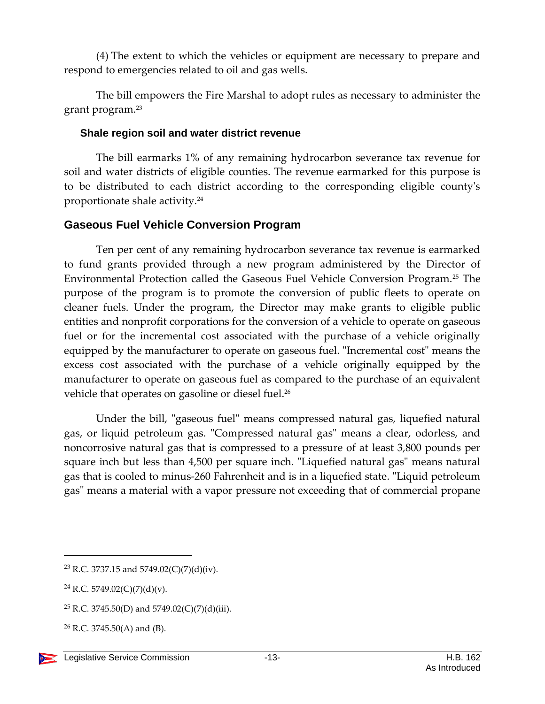(4) The extent to which the vehicles or equipment are necessary to prepare and respond to emergencies related to oil and gas wells.

The bill empowers the Fire Marshal to adopt rules as necessary to administer the grant program.<sup>23</sup>

#### <span id="page-12-0"></span>**Shale region soil and water district revenue**

The bill earmarks 1% of any remaining hydrocarbon severance tax revenue for soil and water districts of eligible counties. The revenue earmarked for this purpose is to be distributed to each district according to the corresponding eligible county's proportionate shale activity.<sup>24</sup>

# <span id="page-12-1"></span>**Gaseous Fuel Vehicle Conversion Program**

Ten per cent of any remaining hydrocarbon severance tax revenue is earmarked to fund grants provided through a new program administered by the Director of Environmental Protection called the Gaseous Fuel Vehicle Conversion Program.<sup>25</sup> The purpose of the program is to promote the conversion of public fleets to operate on cleaner fuels. Under the program, the Director may make grants to eligible public entities and nonprofit corporations for the conversion of a vehicle to operate on gaseous fuel or for the incremental cost associated with the purchase of a vehicle originally equipped by the manufacturer to operate on gaseous fuel. "Incremental cost" means the excess cost associated with the purchase of a vehicle originally equipped by the manufacturer to operate on gaseous fuel as compared to the purchase of an equivalent vehicle that operates on gasoline or diesel fuel.<sup>26</sup>

Under the bill, "gaseous fuel" means compressed natural gas, liquefied natural gas, or liquid petroleum gas. "Compressed natural gas" means a clear, odorless, and noncorrosive natural gas that is compressed to a pressure of at least 3,800 pounds per square inch but less than 4,500 per square inch. "Liquefied natural gas" means natural gas that is cooled to minus-260 Fahrenheit and is in a liquefied state. "Liquid petroleum gas" means a material with a vapor pressure not exceeding that of commercial propane

<sup>23</sup> R.C. 3737.15 and 5749.02(C)(7)(d)(iv).

<sup>24</sup> R.C. 5749.02(C)(7)(d)(v).

<sup>&</sup>lt;sup>25</sup> R.C. 3745.50(D) and 5749.02(C)(7)(d)(iii).

 $26$  R.C. 3745.50(A) and (B).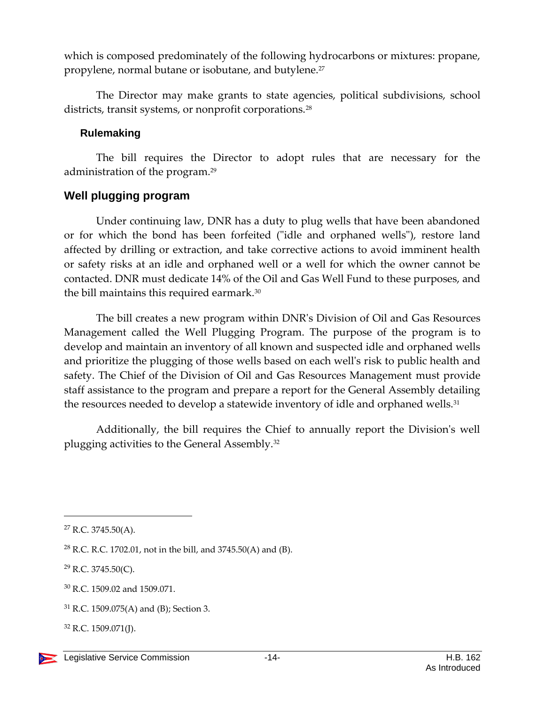which is composed predominately of the following hydrocarbons or mixtures: propane, propylene, normal butane or isobutane, and butylene.<sup>27</sup>

The Director may make grants to state agencies, political subdivisions, school districts, transit systems, or nonprofit corporations.<sup>28</sup>

#### <span id="page-13-0"></span>**Rulemaking**

The bill requires the Director to adopt rules that are necessary for the administration of the program. 29

# <span id="page-13-1"></span>**Well plugging program**

Under continuing law, DNR has a duty to plug wells that have been abandoned or for which the bond has been forfeited ("idle and orphaned wells"), restore land affected by drilling or extraction, and take corrective actions to avoid imminent health or safety risks at an idle and orphaned well or a well for which the owner cannot be contacted. DNR must dedicate 14% of the Oil and Gas Well Fund to these purposes, and the bill maintains this required earmark.<sup>30</sup>

The bill creates a new program within DNR's Division of Oil and Gas Resources Management called the Well Plugging Program. The purpose of the program is to develop and maintain an inventory of all known and suspected idle and orphaned wells and prioritize the plugging of those wells based on each well's risk to public health and safety. The Chief of the Division of Oil and Gas Resources Management must provide staff assistance to the program and prepare a report for the General Assembly detailing the resources needed to develop a statewide inventory of idle and orphaned wells.<sup>31</sup>

Additionally, the bill requires the Chief to annually report the Division's well plugging activities to the General Assembly.<sup>32</sup>

<sup>27</sup> R.C. 3745.50(A).

<sup>&</sup>lt;sup>28</sup> R.C. R.C. 1702.01, not in the bill, and 3745.50(A) and (B).

 $^{29}$  R.C. 3745.50(C).

<sup>30</sup> R.C. 1509.02 and 1509.071.

<sup>31</sup> R.C. 1509.075(A) and (B); Section 3.

 $32$  R.C. 1509.071(J).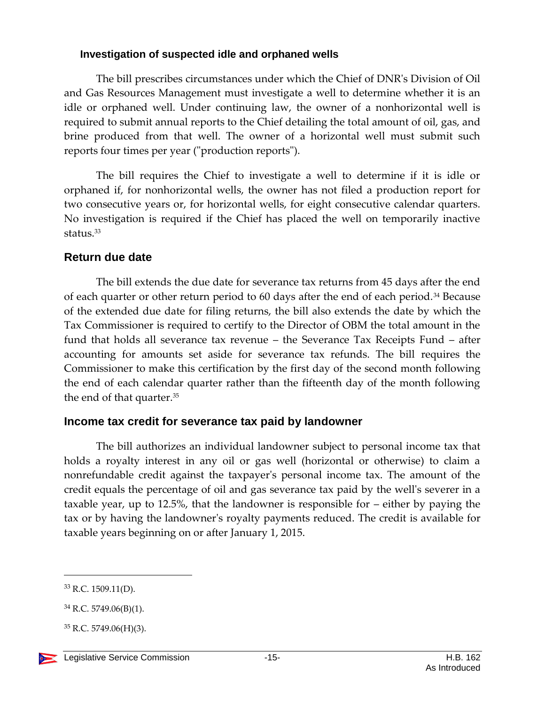#### <span id="page-14-0"></span>**Investigation of suspected idle and orphaned wells**

The bill prescribes circumstances under which the Chief of DNR's Division of Oil and Gas Resources Management must investigate a well to determine whether it is an idle or orphaned well. Under continuing law, the owner of a nonhorizontal well is required to submit annual reports to the Chief detailing the total amount of oil, gas, and brine produced from that well. The owner of a horizontal well must submit such reports four times per year ("production reports").

The bill requires the Chief to investigate a well to determine if it is idle or orphaned if, for nonhorizontal wells, the owner has not filed a production report for two consecutive years or, for horizontal wells, for eight consecutive calendar quarters. No investigation is required if the Chief has placed the well on temporarily inactive status.<sup>33</sup>

# <span id="page-14-1"></span>**Return due date**

The bill extends the due date for severance tax returns from 45 days after the end of each quarter or other return period to 60 days after the end of each period.<sup>34</sup> Because of the extended due date for filing returns, the bill also extends the date by which the Tax Commissioner is required to certify to the Director of OBM the total amount in the fund that holds all severance tax revenue – the Severance Tax Receipts Fund – after accounting for amounts set aside for severance tax refunds. The bill requires the Commissioner to make this certification by the first day of the second month following the end of each calendar quarter rather than the fifteenth day of the month following the end of that quarter.<sup>35</sup>

### <span id="page-14-2"></span>**Income tax credit for severance tax paid by landowner**

The bill authorizes an individual landowner subject to personal income tax that holds a royalty interest in any oil or gas well (horizontal or otherwise) to claim a nonrefundable credit against the taxpayer's personal income tax. The amount of the credit equals the percentage of oil and gas severance tax paid by the well's severer in a taxable year, up to 12.5%, that the landowner is responsible for – either by paying the tax or by having the landowner's royalty payments reduced. The credit is available for taxable years beginning on or after January 1, 2015.

<sup>33</sup> R.C. 1509.11(D).

<sup>34</sup> R.C. 5749.06(B)(1).

 $35$  R.C. 5749.06(H)(3).